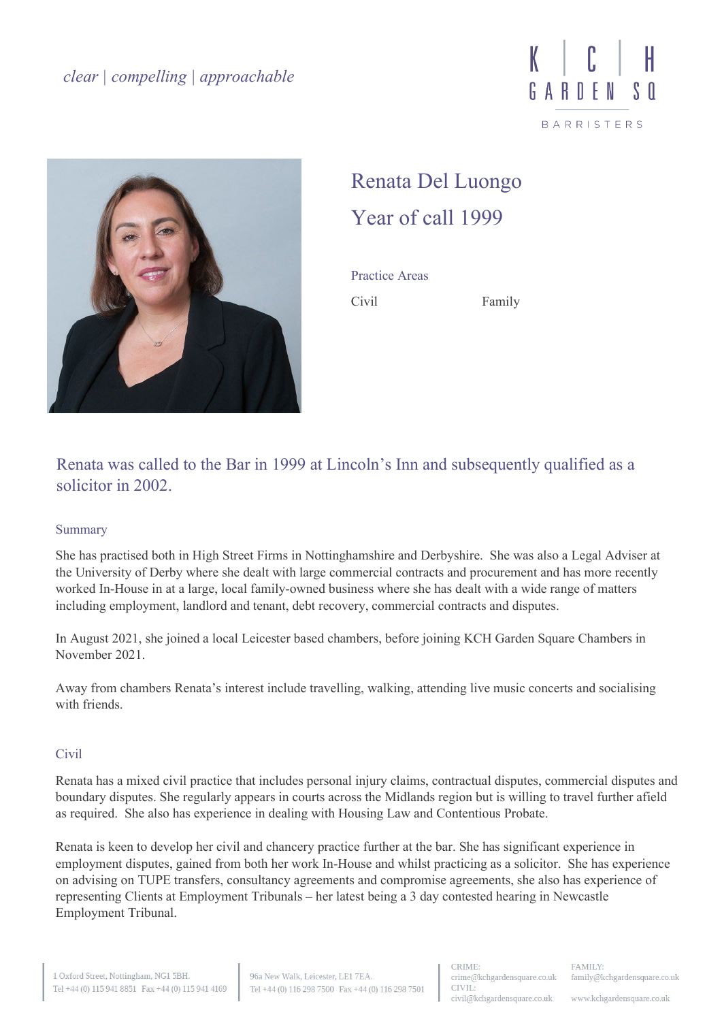



## Renata Del Luongo Year of call 1999

Practice Areas Civil Family

Renata was called to the Bar in 1999 at Lincoln's Inn and subsequently qualified as a solicitor in 2002.

## Summary

She has practised both in High Street Firms in Nottinghamshire and Derbyshire. She was also a Legal Adviser at the University of Derby where she dealt with large commercial contracts and procurement and has more recently worked In-House in at a large, local family-owned business where she has dealt with a wide range of matters including employment, landlord and tenant, debt recovery, commercial contracts and disputes.

In August 2021, she joined a local Leicester based chambers, before joining KCH Garden Square Chambers in November 2021.

Away from chambers Renata's interest include travelling, walking, attending live music concerts and socialising with friends.

## **Civil**

Renata has a mixed civil practice that includes personal injury claims, contractual disputes, commercial disputes and boundary disputes. She regularly appears in courts across the Midlands region but is willing to travel further afield as required. She also has experience in dealing with Housing Law and Contentious Probate.

Renata is keen to develop her civil and chancery practice further at the bar. She has significant experience in employment disputes, gained from both her work In-House and whilst practicing as a solicitor. She has experience on advising on TUPE transfers, consultancy agreements and compromise agreements, she also has experience of representing Clients at Employment Tribunals – her latest being a 3 day contested hearing in Newcastle Employment Tribunal.

www.kchgardensquare.co.uk